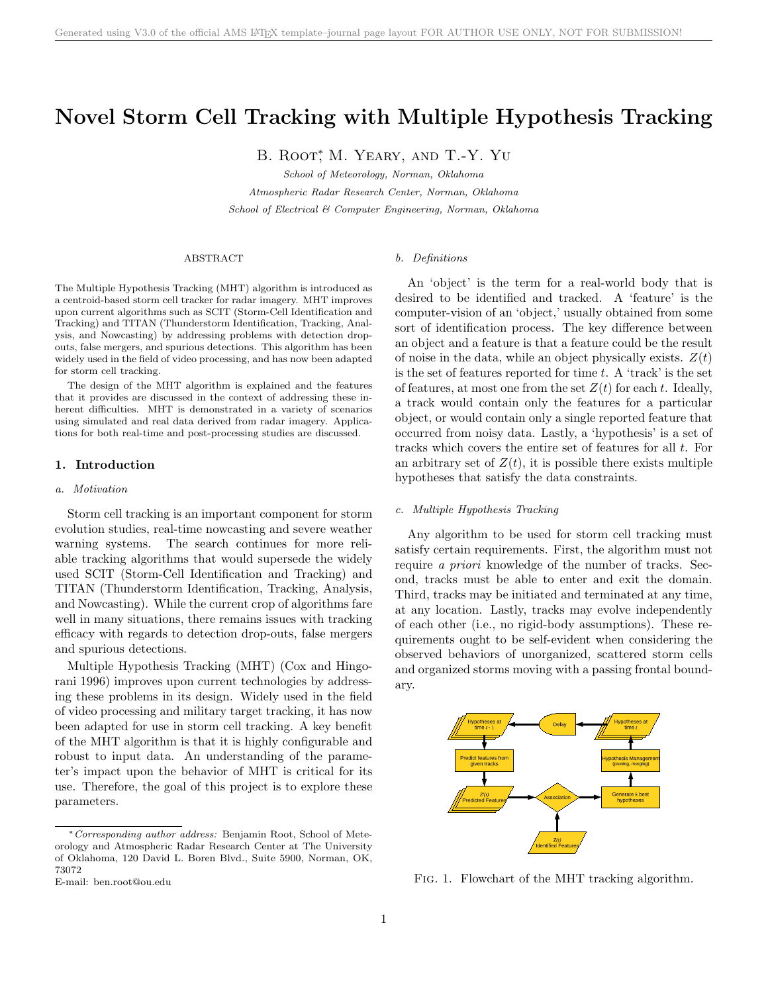# Novel Storm Cell Tracking with Multiple Hypothesis Tracking

B. ROOT<sup>\*</sup>, M. YEARY, AND T.-Y. YU

School of Meteorology, Norman, Oklahoma

Atmospheric Radar Research Center, Norman, Oklahoma School of Electrical & Computer Engineering, Norman, Oklahoma

## ABSTRACT

The Multiple Hypothesis Tracking (MHT) algorithm is introduced as a centroid-based storm cell tracker for radar imagery. MHT improves upon current algorithms such as SCIT (Storm-Cell Identification and Tracking) and TITAN (Thunderstorm Identification, Tracking, Analysis, and Nowcasting) by addressing problems with detection dropouts, false mergers, and spurious detections. This algorithm has been widely used in the field of video processing, and has now been adapted for storm cell tracking.

The design of the MHT algorithm is explained and the features that it provides are discussed in the context of addressing these inherent difficulties. MHT is demonstrated in a variety of scenarios using simulated and real data derived from radar imagery. Applications for both real-time and post-processing studies are discussed.

### 1. Introduction

#### a. Motivation

Storm cell tracking is an important component for storm evolution studies, real-time nowcasting and severe weather warning systems. The search continues for more reliable tracking algorithms that would supersede the widely used SCIT (Storm-Cell Identification and Tracking) and TITAN (Thunderstorm Identification, Tracking, Analysis, and Nowcasting). While the current crop of algorithms fare well in many situations, there remains issues with tracking efficacy with regards to detection drop-outs, false mergers and spurious detections.

Multiple Hypothesis Tracking (MHT) (Cox and Hingorani 1996) improves upon current technologies by addressing these problems in its design. Widely used in the field of video processing and military target tracking, it has now been adapted for use in storm cell tracking. A key benefit of the MHT algorithm is that it is highly configurable and robust to input data. An understanding of the parameter's impact upon the behavior of MHT is critical for its use. Therefore, the goal of this project is to explore these parameters.

#### b. Definitions

An 'object' is the term for a real-world body that is desired to be identified and tracked. A 'feature' is the computer-vision of an 'object,' usually obtained from some sort of identification process. The key difference between an object and a feature is that a feature could be the result of noise in the data, while an object physically exists.  $Z(t)$ is the set of features reported for time  $t$ . A 'track' is the set of features, at most one from the set  $Z(t)$  for each t. Ideally, a track would contain only the features for a particular object, or would contain only a single reported feature that occurred from noisy data. Lastly, a 'hypothesis' is a set of tracks which covers the entire set of features for all  $t$ . For an arbitrary set of  $Z(t)$ , it is possible there exists multiple hypotheses that satisfy the data constraints.

## c. Multiple Hypothesis Tracking

Any algorithm to be used for storm cell tracking must satisfy certain requirements. First, the algorithm must not require a priori knowledge of the number of tracks. Second, tracks must be able to enter and exit the domain. Third, tracks may be initiated and terminated at any time, at any location. Lastly, tracks may evolve independently of each other (i.e., no rigid-body assumptions). These requirements ought to be self-evident when considering the observed behaviors of unorganized, scattered storm cells and organized storms moving with a passing frontal boundary.



Fig. 1. Flowchart of the MHT tracking algorithm.

<sup>∗</sup>Corresponding author address: Benjamin Root, School of Meteorology and Atmospheric Radar Research Center at The University of Oklahoma, 120 David L. Boren Blvd., Suite 5900, Norman, OK, 73072

E-mail: ben.root@ou.edu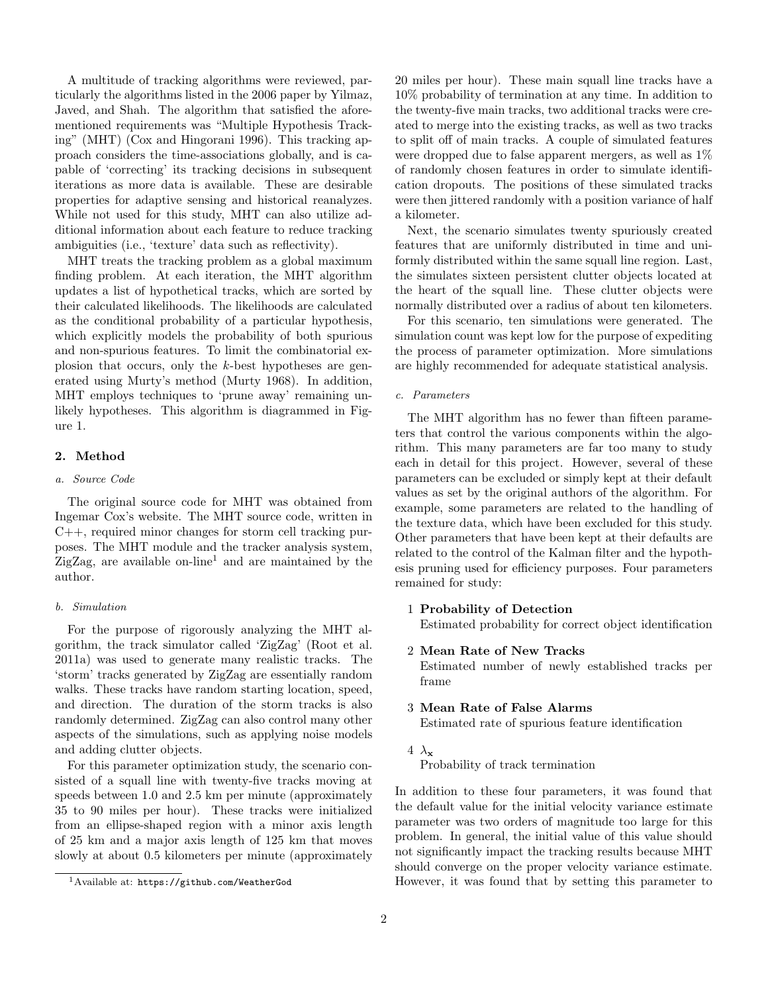A multitude of tracking algorithms were reviewed, particularly the algorithms listed in the 2006 paper by Yilmaz, Javed, and Shah. The algorithm that satisfied the aforementioned requirements was "Multiple Hypothesis Tracking" (MHT) (Cox and Hingorani 1996). This tracking approach considers the time-associations globally, and is capable of 'correcting' its tracking decisions in subsequent iterations as more data is available. These are desirable properties for adaptive sensing and historical reanalyzes. While not used for this study, MHT can also utilize additional information about each feature to reduce tracking ambiguities (i.e., 'texture' data such as reflectivity).

MHT treats the tracking problem as a global maximum finding problem. At each iteration, the MHT algorithm updates a list of hypothetical tracks, which are sorted by their calculated likelihoods. The likelihoods are calculated as the conditional probability of a particular hypothesis, which explicitly models the probability of both spurious and non-spurious features. To limit the combinatorial explosion that occurs, only the k-best hypotheses are generated using Murty's method (Murty 1968). In addition, MHT employs techniques to 'prune away' remaining unlikely hypotheses. This algorithm is diagrammed in Figure 1.

# 2. Method

## a. Source Code

The original source code for MHT was obtained from Ingemar Cox's website. The MHT source code, written in C++, required minor changes for storm cell tracking purposes. The MHT module and the tracker analysis system,  $\text{ZigZag}$ , are available on-line<sup>1</sup> and are maintained by the author.

# b. Simulation

For the purpose of rigorously analyzing the MHT algorithm, the track simulator called 'ZigZag' (Root et al. 2011a) was used to generate many realistic tracks. The 'storm' tracks generated by ZigZag are essentially random walks. These tracks have random starting location, speed, and direction. The duration of the storm tracks is also randomly determined. ZigZag can also control many other aspects of the simulations, such as applying noise models and adding clutter objects.

For this parameter optimization study, the scenario consisted of a squall line with twenty-five tracks moving at speeds between 1.0 and 2.5 km per minute (approximately 35 to 90 miles per hour). These tracks were initialized from an ellipse-shaped region with a minor axis length of 25 km and a major axis length of 125 km that moves slowly at about 0.5 kilometers per minute (approximately

20 miles per hour). These main squall line tracks have a 10% probability of termination at any time. In addition to the twenty-five main tracks, two additional tracks were created to merge into the existing tracks, as well as two tracks to split off of main tracks. A couple of simulated features were dropped due to false apparent mergers, as well as 1% of randomly chosen features in order to simulate identification dropouts. The positions of these simulated tracks were then jittered randomly with a position variance of half a kilometer.

Next, the scenario simulates twenty spuriously created features that are uniformly distributed in time and uniformly distributed within the same squall line region. Last, the simulates sixteen persistent clutter objects located at the heart of the squall line. These clutter objects were normally distributed over a radius of about ten kilometers.

For this scenario, ten simulations were generated. The simulation count was kept low for the purpose of expediting the process of parameter optimization. More simulations are highly recommended for adequate statistical analysis.

## c. Parameters

The MHT algorithm has no fewer than fifteen parameters that control the various components within the algorithm. This many parameters are far too many to study each in detail for this project. However, several of these parameters can be excluded or simply kept at their default values as set by the original authors of the algorithm. For example, some parameters are related to the handling of the texture data, which have been excluded for this study. Other parameters that have been kept at their defaults are related to the control of the Kalman filter and the hypothesis pruning used for efficiency purposes. Four parameters remained for study:

## 1 Probability of Detection

Estimated probability for correct object identification

2 Mean Rate of New Tracks

Estimated number of newly established tracks per frame

# 3 Mean Rate of False Alarms

Estimated rate of spurious feature identification

# 4  $\lambda_{\mathbf{x}}$

Probability of track termination

In addition to these four parameters, it was found that the default value for the initial velocity variance estimate parameter was two orders of magnitude too large for this problem. In general, the initial value of this value should not significantly impact the tracking results because MHT should converge on the proper velocity variance estimate. However, it was found that by setting this parameter to

<sup>1</sup>Available at: https://github.com/WeatherGod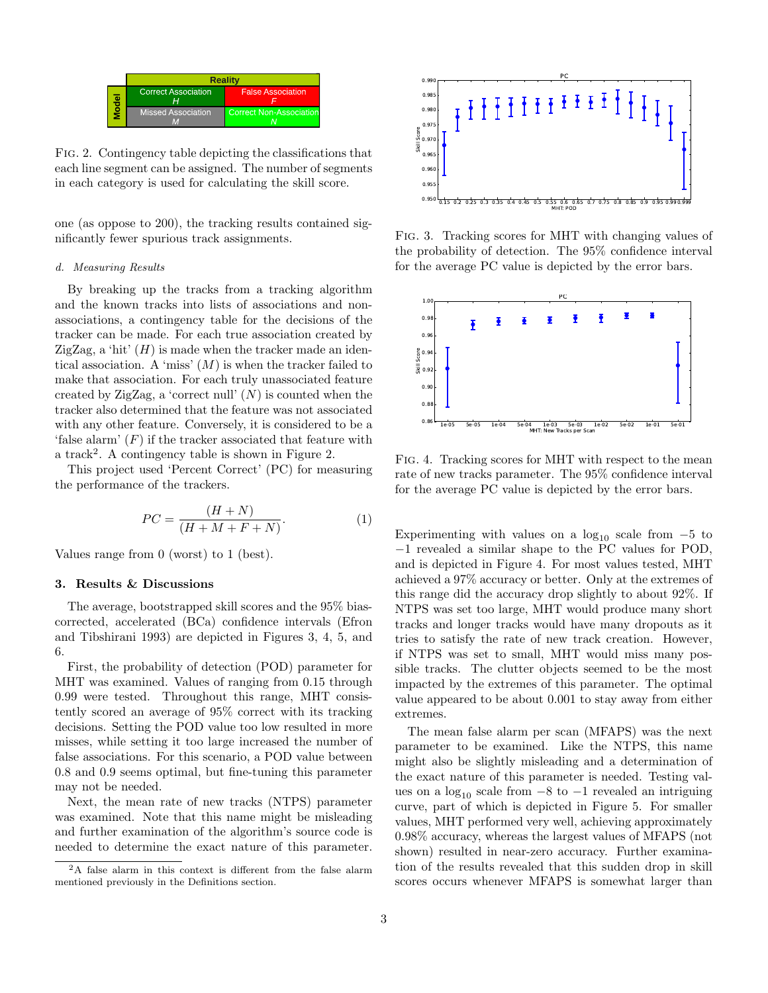|  | <b>Reality</b>             |                                |
|--|----------------------------|--------------------------------|
|  | <b>Correct Association</b> | <b>False Association</b>       |
|  | <b>Missed Association</b>  | <b>Correct Non-Association</b> |

Fig. 2. Contingency table depicting the classifications that each line segment can be assigned. The number of segments in each category is used for calculating the skill score.

one (as oppose to 200), the tracking results contained significantly fewer spurious track assignments.

## d. Measuring Results

By breaking up the tracks from a tracking algorithm and the known tracks into lists of associations and nonassociations, a contingency table for the decisions of the tracker can be made. For each true association created by ZigZag, a 'hit'  $(H)$  is made when the tracker made an identical association. A 'miss'  $(M)$  is when the tracker failed to make that association. For each truly unassociated feature created by ZigZag, a 'correct null'  $(N)$  is counted when the tracker also determined that the feature was not associated with any other feature. Conversely, it is considered to be a 'false alarm'  $(F)$  if the tracker associated that feature with a track<sup>2</sup>. A contingency table is shown in Figure 2.

This project used 'Percent Correct' (PC) for measuring the performance of the trackers.

$$
PC = \frac{(H+N)}{(H+M+F+N)}.\tag{1}
$$

Values range from 0 (worst) to 1 (best).

## 3. Results & Discussions

The average, bootstrapped skill scores and the 95% biascorrected, accelerated (BCa) confidence intervals (Efron and Tibshirani 1993) are depicted in Figures 3, 4, 5, and 6.

First, the probability of detection (POD) parameter for MHT was examined. Values of ranging from 0.15 through 0.99 were tested. Throughout this range, MHT consistently scored an average of 95% correct with its tracking decisions. Setting the POD value too low resulted in more misses, while setting it too large increased the number of false associations. For this scenario, a POD value between 0.8 and 0.9 seems optimal, but fine-tuning this parameter may not be needed.

Next, the mean rate of new tracks (NTPS) parameter was examined. Note that this name might be misleading and further examination of the algorithm's source code is needed to determine the exact nature of this parameter.



Fig. 3. Tracking scores for MHT with changing values of the probability of detection. The 95% confidence interval for the average PC value is depicted by the error bars.



Fig. 4. Tracking scores for MHT with respect to the mean rate of new tracks parameter. The 95% confidence interval for the average PC value is depicted by the error bars.

Experimenting with values on a  $log_{10}$  scale from  $-5$  to −1 revealed a similar shape to the PC values for POD, and is depicted in Figure 4. For most values tested, MHT achieved a 97% accuracy or better. Only at the extremes of this range did the accuracy drop slightly to about 92%. If NTPS was set too large, MHT would produce many short tracks and longer tracks would have many dropouts as it tries to satisfy the rate of new track creation. However, if NTPS was set to small, MHT would miss many possible tracks. The clutter objects seemed to be the most impacted by the extremes of this parameter. The optimal value appeared to be about 0.001 to stay away from either extremes.

The mean false alarm per scan (MFAPS) was the next parameter to be examined. Like the NTPS, this name might also be slightly misleading and a determination of the exact nature of this parameter is needed. Testing values on a  $log_{10}$  scale from  $-8$  to  $-1$  revealed an intriguing curve, part of which is depicted in Figure 5. For smaller values, MHT performed very well, achieving approximately 0.98% accuracy, whereas the largest values of MFAPS (not shown) resulted in near-zero accuracy. Further examination of the results revealed that this sudden drop in skill scores occurs whenever MFAPS is somewhat larger than

<sup>2</sup>A false alarm in this context is different from the false alarm mentioned previously in the Definitions section.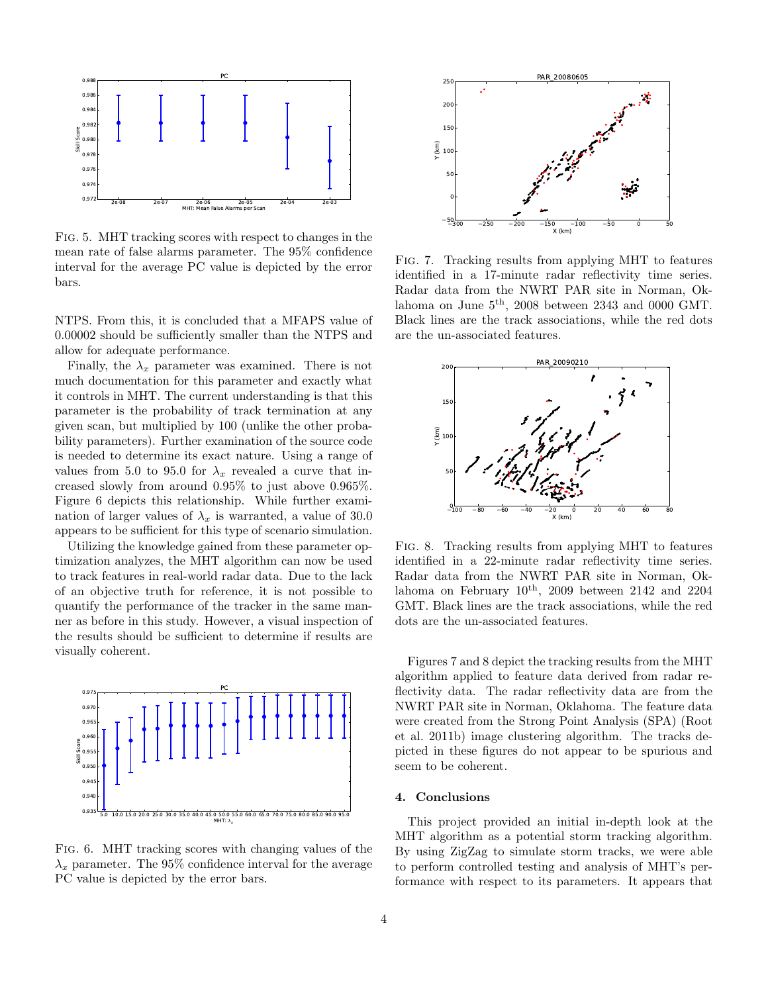

Fig. 5. MHT tracking scores with respect to changes in the mean rate of false alarms parameter. The 95% confidence interval for the average PC value is depicted by the error bars.

NTPS. From this, it is concluded that a MFAPS value of 0.00002 should be sufficiently smaller than the NTPS and allow for adequate performance.

Finally, the  $\lambda_x$  parameter was examined. There is not much documentation for this parameter and exactly what it controls in MHT. The current understanding is that this parameter is the probability of track termination at any given scan, but multiplied by 100 (unlike the other probability parameters). Further examination of the source code is needed to determine its exact nature. Using a range of values from 5.0 to 95.0 for  $\lambda_x$  revealed a curve that increased slowly from around 0.95% to just above 0.965%. Figure 6 depicts this relationship. While further examination of larger values of  $\lambda_x$  is warranted, a value of 30.0 appears to be sufficient for this type of scenario simulation.

Utilizing the knowledge gained from these parameter optimization analyzes, the MHT algorithm can now be used to track features in real-world radar data. Due to the lack of an objective truth for reference, it is not possible to quantify the performance of the tracker in the same manner as before in this study. However, a visual inspection of the results should be sufficient to determine if results are visually coherent.



Fig. 6. MHT tracking scores with changing values of the  $\lambda_x$  parameter. The 95% confidence interval for the average PC value is depicted by the error bars.



Fig. 7. Tracking results from applying MHT to features identified in a 17-minute radar reflectivity time series. Radar data from the NWRT PAR site in Norman, Oklahoma on June  $5<sup>th</sup>$ , 2008 between 2343 and 0000 GMT. Black lines are the track associations, while the red dots are the un-associated features.



Fig. 8. Tracking results from applying MHT to features identified in a 22-minute radar reflectivity time series. Radar data from the NWRT PAR site in Norman, Oklahoma on February  $10^{th}$ , 2009 between 2142 and 2204 GMT. Black lines are the track associations, while the red dots are the un-associated features.

Figures 7 and 8 depict the tracking results from the MHT algorithm applied to feature data derived from radar reflectivity data. The radar reflectivity data are from the NWRT PAR site in Norman, Oklahoma. The feature data were created from the Strong Point Analysis (SPA) (Root et al. 2011b) image clustering algorithm. The tracks depicted in these figures do not appear to be spurious and seem to be coherent.

# 4. Conclusions

This project provided an initial in-depth look at the MHT algorithm as a potential storm tracking algorithm. By using ZigZag to simulate storm tracks, we were able to perform controlled testing and analysis of MHT's performance with respect to its parameters. It appears that